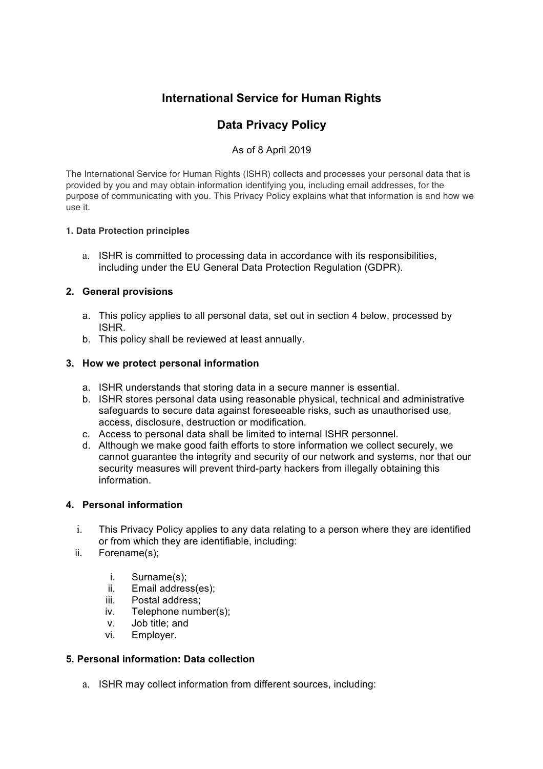# **International Service for Human Rights**

# **Data Privacy Policy**

# As of 8 April 2019

The International Service for Human Rights (ISHR) collects and processes your personal data that is provided by you and may obtain information identifying you, including email addresses, for the purpose of communicating with you. This Privacy Policy explains what that information is and how we use it.

### **1. Data Protection principles**

a. ISHR is committed to processing data in accordance with its responsibilities, including under the EU General Data Protection Regulation (GDPR).

# **2. General provisions**

- a. This policy applies to all personal data, set out in section 4 below, processed by ISHR.
- b. This policy shall be reviewed at least annually.

### **3. How we protect personal information**

- a. ISHR understands that storing data in a secure manner is essential.
- b. ISHR stores personal data using reasonable physical, technical and administrative safeguards to secure data against foreseeable risks, such as unauthorised use, access, disclosure, destruction or modification.
- c. Access to personal data shall be limited to internal ISHR personnel.
- d. Although we make good faith efforts to store information we collect securely, we cannot guarantee the integrity and security of our network and systems, nor that our security measures will prevent third-party hackers from illegally obtaining this information.

## **4. Personal information**

- i. This Privacy Policy applies to any data relating to a person where they are identified or from which they are identifiable, including:
- ii. Forename(s);
	- i. Surname(s);
	- ii. Email address(es);
	- iii. Postal address;
	- iv. Telephone number(s);
	- v. Job title; and
	- vi. Employer.

### **5. Personal information: Data collection**

a. ISHR may collect information from different sources, including: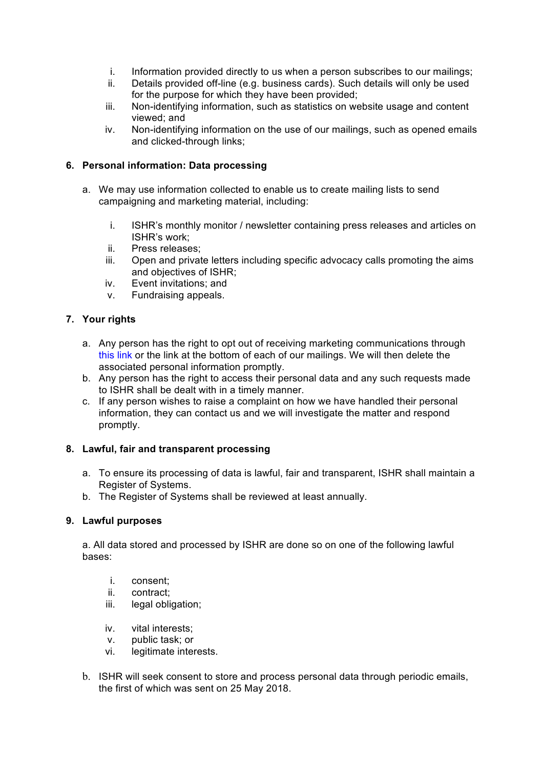- i. Information provided directly to us when a person subscribes to our mailings;
- ii. Details provided off-line (e.g. business cards). Such details will only be used for the purpose for which they have been provided;
- iii. Non-identifying information, such as statistics on website usage and content viewed; and
- iv. Non-identifying information on the use of our mailings, such as opened emails and clicked-through links;

## **6. Personal information: Data processing**

- a. We may use information collected to enable us to create mailing lists to send campaigning and marketing material, including:
	- i. ISHR's monthly monitor / newsletter containing press releases and articles on ISHR's work;
	- ii. Press releases;
	- iii. Open and private letters including specific advocacy calls promoting the aims and objectives of ISHR;
	- iv. Event invitations; and
	- v. Fundraising appeals.

# **7. Your rights**

- a. Any person has the right to opt out of receiving marketing communications through this link or the link at the bottom of each of our mailings. We will then delete the associated personal information promptly.
- b. Any person has the right to access their personal data and any such requests made to ISHR shall be dealt with in a timely manner.
- c. If any person wishes to raise a complaint on how we have handled their personal information, they can contact us and we will investigate the matter and respond promptly.

### **8. Lawful, fair and transparent processing**

- a. To ensure its processing of data is lawful, fair and transparent, ISHR shall maintain a Register of Systems.
- b. The Register of Systems shall be reviewed at least annually.

### **9. Lawful purposes**

a. All data stored and processed by ISHR are done so on one of the following lawful bases:

- i. consent;
- ii. contract;
- iii. legal obligation;
- iv. vital interests;
- v. public task; or
- vi. legitimate interests.
- b. ISHR will seek consent to store and process personal data through periodic emails, the first of which was sent on 25 May 2018.